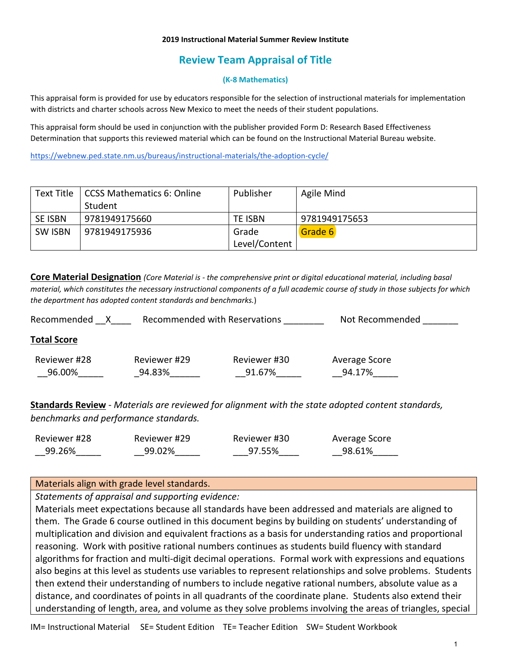#### **2019 Instructional Material Summer Review Institute**

# **Review Team Appraisal of Title**

### **(K-8 Mathematics)**

This appraisal form is provided for use by educators responsible for the selection of instructional materials for implementation with districts and charter schools across New Mexico to meet the needs of their student populations.

This appraisal form should be used in conjunction with the publisher provided Form D: Research Based Effectiveness Determination that supports this reviewed material which can be found on the Instructional Material Bureau website.

<https://webnew.ped.state.nm.us/bureaus/instructional-materials/the-adoption-cycle/>

| Text Title     | CCSS Mathematics 6: Online | Publisher     | Agile Mind    |
|----------------|----------------------------|---------------|---------------|
|                | Student                    |               |               |
| <b>SE ISBN</b> | 9781949175660              | TE ISBN       | 9781949175653 |
| <b>SW ISBN</b> | 9781949175936              | Grade         | Grade 6       |
|                |                            | Level/Content |               |

**Core Material Designation** *(Core Material is - the comprehensive print or digital educational material, including basal material, which constitutes the necessary instructional components of a full academic course of study in those subjects for which the department has adopted content standards and benchmarks.*)

| Recommended with Reservations<br>Recommended |              |              | Not Recommended |  |  |
|----------------------------------------------|--------------|--------------|-----------------|--|--|
| <b>Total Score</b>                           |              |              |                 |  |  |
| Reviewer #28                                 | Reviewer #29 | Reviewer #30 | Average Score   |  |  |
| 96.00%                                       | 94.83%       | 91.67%       | 94.17%          |  |  |

**Standards Review** - *Materials are reviewed for alignment with the state adopted content standards, benchmarks and performance standards.*

| Reviewer #28 | Reviewer #29 | Reviewer #30 | Average Score |
|--------------|--------------|--------------|---------------|
| 99.26%       | 99.02%       | 97.55%       | 98.61%        |

## Materials align with grade level standards.

*Statements of appraisal and supporting evidence:*

Materials meet expectations because all standards have been addressed and materials are aligned to them. The Grade 6 course outlined in this document begins by building on students' understanding of multiplication and division and equivalent fractions as a basis for understanding ratios and proportional reasoning. Work with positive rational numbers continues as students build fluency with standard algorithms for fraction and multi-digit decimal operations. Formal work with expressions and equations also begins at this level as students use variables to represent relationships and solve problems. Students then extend their understanding of numbers to include negative rational numbers, absolute value as a distance, and coordinates of points in all quadrants of the coordinate plane. Students also extend their understanding of length, area, and volume as they solve problems involving the areas of triangles, special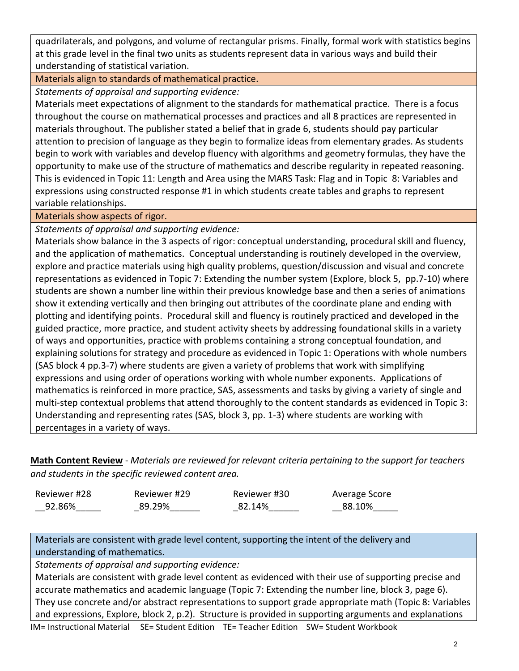quadrilaterals, and polygons, and volume of rectangular prisms. Finally, formal work with statistics begins at this grade level in the final two units as students represent data in various ways and build their understanding of statistical variation.

Materials align to standards of mathematical practice.

*Statements of appraisal and supporting evidence:*

Materials meet expectations of alignment to the standards for mathematical practice. There is a focus throughout the course on mathematical processes and practices and all 8 practices are represented in materials throughout. The publisher stated a belief that in grade 6, students should pay particular attention to precision of language as they begin to formalize ideas from elementary grades. As students begin to work with variables and develop fluency with algorithms and geometry formulas, they have the opportunity to make use of the structure of mathematics and describe regularity in repeated reasoning. This is evidenced in Topic 11: Length and Area using the MARS Task: Flag and in Topic 8: Variables and expressions using constructed response #1 in which students create tables and graphs to represent variable relationships.

## Materials show aspects of rigor.

*Statements of appraisal and supporting evidence:*

Materials show balance in the 3 aspects of rigor: conceptual understanding, procedural skill and fluency, and the application of mathematics. Conceptual understanding is routinely developed in the overview, explore and practice materials using high quality problems, question/discussion and visual and concrete representations as evidenced in Topic 7: Extending the number system (Explore, block 5, pp.7-10) where students are shown a number line within their previous knowledge base and then a series of animations show it extending vertically and then bringing out attributes of the coordinate plane and ending with plotting and identifying points. Procedural skill and fluency is routinely practiced and developed in the guided practice, more practice, and student activity sheets by addressing foundational skills in a variety of ways and opportunities, practice with problems containing a strong conceptual foundation, and explaining solutions for strategy and procedure as evidenced in Topic 1: Operations with whole numbers (SAS block 4 pp.3-7) where students are given a variety of problems that work with simplifying expressions and using order of operations working with whole number exponents. Applications of mathematics is reinforced in more practice, SAS, assessments and tasks by giving a variety of single and multi-step contextual problems that attend thoroughly to the content standards as evidenced in Topic 3: Understanding and representing rates (SAS, block 3, pp. 1-3) where students are working with percentages in a variety of ways.

**Math Content Review** - *Materials are reviewed for relevant criteria pertaining to the support for teachers and students in the specific reviewed content area.*

| Reviewer #28 | Reviewer #29 | Reviewer #30 | Average Score |
|--------------|--------------|--------------|---------------|
| 92.86%       | 89.29%       | 82.14%       | 88.10%        |

Materials are consistent with grade level content, supporting the intent of the delivery and understanding of mathematics.

*Statements of appraisal and supporting evidence:*

Materials are consistent with grade level content as evidenced with their use of supporting precise and accurate mathematics and academic language (Topic 7: Extending the number line, block 3, page 6). They use concrete and/or abstract representations to support grade appropriate math (Topic 8: Variables and expressions, Explore, block 2, p.2). Structure is provided in supporting arguments and explanations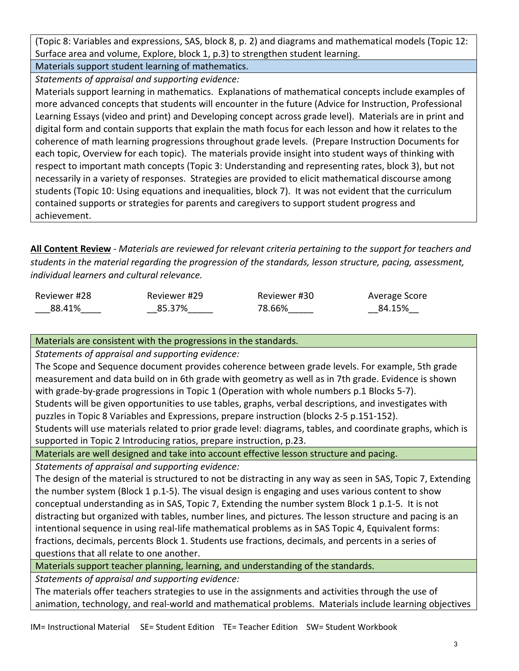(Topic 8: Variables and expressions, SAS, block 8, p. 2) and diagrams and mathematical models (Topic 12: Surface area and volume, Explore, block 1, p.3) to strengthen student learning.

Materials support student learning of mathematics. *Statements of appraisal and supporting evidence:*

Materials support learning in mathematics. Explanations of mathematical concepts include examples of more advanced concepts that students will encounter in the future (Advice for Instruction, Professional Learning Essays (video and print) and Developing concept across grade level). Materials are in print and digital form and contain supports that explain the math focus for each lesson and how it relates to the coherence of math learning progressions throughout grade levels. (Prepare Instruction Documents for each topic, Overview for each topic). The materials provide insight into student ways of thinking with respect to important math concepts (Topic 3: Understanding and representing rates, block 3), but not necessarily in a variety of responses. Strategies are provided to elicit mathematical discourse among students (Topic 10: Using equations and inequalities, block 7). It was not evident that the curriculum contained supports or strategies for parents and caregivers to support student progress and achievement.

**All Content Review** - *Materials are reviewed for relevant criteria pertaining to the support for teachers and students in the material regarding the progression of the standards, lesson structure, pacing, assessment, individual learners and cultural relevance.*

| Reviewer #28 | Reviewer #29 | Reviewer #30 | Average Score |
|--------------|--------------|--------------|---------------|
| 88.41%       | 85.37%       | 78.66%       | 84.15%        |

Materials are consistent with the progressions in the standards.

*Statements of appraisal and supporting evidence:*

The Scope and Sequence document provides coherence between grade levels. For example, 5th grade measurement and data build on in 6th grade with geometry as well as in 7th grade. Evidence is shown with grade-by-grade progressions in Topic 1 (Operation with whole numbers p.1 Blocks 5-7). Students will be given opportunities to use tables, graphs, verbal descriptions, and investigates with puzzles in Topic 8 Variables and Expressions, prepare instruction (blocks 2-5 p.151-152).

Students will use materials related to prior grade level: diagrams, tables, and coordinate graphs, which is supported in Topic 2 Introducing ratios, prepare instruction, p.23.

Materials are well designed and take into account effective lesson structure and pacing.

*Statements of appraisal and supporting evidence:*

The design of the material is structured to not be distracting in any way as seen in SAS, Topic 7, Extending the number system (Block 1 p.1-5). The visual design is engaging and uses various content to show conceptual understanding as in SAS, Topic 7, Extending the number system Block 1 p.1-5. It is not distracting but organized with tables, number lines, and pictures. The lesson structure and pacing is an intentional sequence in using real-life mathematical problems as in SAS Topic 4, Equivalent forms: fractions, decimals, percents Block 1. Students use fractions, decimals, and percents in a series of questions that all relate to one another.

Materials support teacher planning, learning, and understanding of the standards.

*Statements of appraisal and supporting evidence:*

The materials offer teachers strategies to use in the assignments and activities through the use of animation, technology, and real-world and mathematical problems. Materials include learning objectives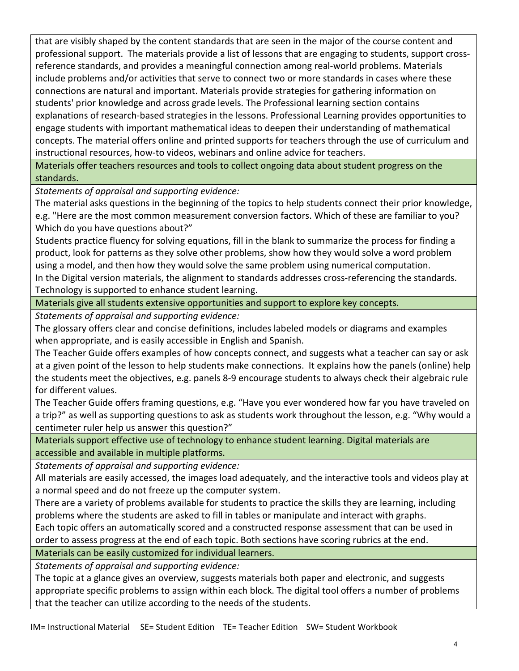that are visibly shaped by the content standards that are seen in the major of the course content and professional support. The materials provide a list of lessons that are engaging to students, support crossreference standards, and provides a meaningful connection among real-world problems. Materials include problems and/or activities that serve to connect two or more standards in cases where these connections are natural and important. Materials provide strategies for gathering information on students' prior knowledge and across grade levels. The Professional learning section contains explanations of research-based strategies in the lessons. Professional Learning provides opportunities to engage students with important mathematical ideas to deepen their understanding of mathematical concepts. The material offers online and printed supports for teachers through the use of curriculum and instructional resources, how-to videos, webinars and online advice for teachers.

Materials offer teachers resources and tools to collect ongoing data about student progress on the standards.

*Statements of appraisal and supporting evidence:*

The material asks questions in the beginning of the topics to help students connect their prior knowledge, e.g. "Here are the most common measurement conversion factors. Which of these are familiar to you? Which do you have questions about?"

Students practice fluency for solving equations, fill in the blank to summarize the process for finding a product, look for patterns as they solve other problems, show how they would solve a word problem using a model, and then how they would solve the same problem using numerical computation. In the Digital version materials, the alignment to standards addresses cross-referencing the standards.

Technology is supported to enhance student learning.

Materials give all students extensive opportunities and support to explore key concepts.

*Statements of appraisal and supporting evidence:*

The glossary offers clear and concise definitions, includes labeled models or diagrams and examples when appropriate, and is easily accessible in English and Spanish.

The Teacher Guide offers examples of how concepts connect, and suggests what a teacher can say or ask at a given point of the lesson to help students make connections. It explains how the panels (online) help the students meet the objectives, e.g. panels 8-9 encourage students to always check their algebraic rule for different values.

The Teacher Guide offers framing questions, e.g. "Have you ever wondered how far you have traveled on a trip?" as well as supporting questions to ask as students work throughout the lesson, e.g. "Why would a centimeter ruler help us answer this question?"

Materials support effective use of technology to enhance student learning. Digital materials are accessible and available in multiple platforms.

*Statements of appraisal and supporting evidence:*

All materials are easily accessed, the images load adequately, and the interactive tools and videos play at a normal speed and do not freeze up the computer system.

There are a variety of problems available for students to practice the skills they are learning, including problems where the students are asked to fill in tables or manipulate and interact with graphs.

Each topic offers an automatically scored and a constructed response assessment that can be used in order to assess progress at the end of each topic. Both sections have scoring rubrics at the end.

Materials can be easily customized for individual learners.

*Statements of appraisal and supporting evidence:*

The topic at a glance gives an overview, suggests materials both paper and electronic, and suggests appropriate specific problems to assign within each block. The digital tool offers a number of problems that the teacher can utilize according to the needs of the students.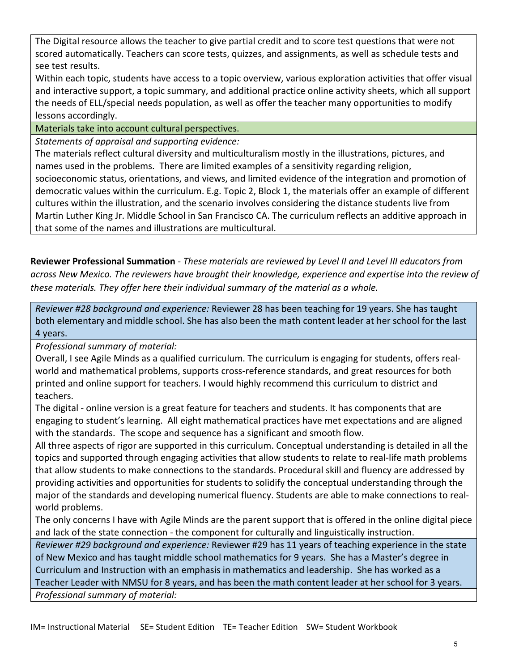The Digital resource allows the teacher to give partial credit and to score test questions that were not scored automatically. Teachers can score tests, quizzes, and assignments, as well as schedule tests and see test results.

Within each topic, students have access to a topic overview, various exploration activities that offer visual and interactive support, a topic summary, and additional practice online activity sheets, which all support the needs of ELL/special needs population, as well as offer the teacher many opportunities to modify lessons accordingly.

Materials take into account cultural perspectives.

*Statements of appraisal and supporting evidence:*

The materials reflect cultural diversity and multiculturalism mostly in the illustrations, pictures, and names used in the problems. There are limited examples of a sensitivity regarding religion, socioeconomic status, orientations, and views, and limited evidence of the integration and promotion of democratic values within the curriculum. E.g. Topic 2, Block 1, the materials offer an example of different cultures within the illustration, and the scenario involves considering the distance students live from Martin Luther King Jr. Middle School in San Francisco CA. The curriculum reflects an additive approach in that some of the names and illustrations are multicultural.

**Reviewer Professional Summation** - *These materials are reviewed by Level II and Level III educators from across New Mexico. The reviewers have brought their knowledge, experience and expertise into the review of these materials. They offer here their individual summary of the material as a whole.* 

*Reviewer #28 background and experience:* Reviewer 28 has been teaching for 19 years. She has taught both elementary and middle school. She has also been the math content leader at her school for the last 4 years.

*Professional summary of material:*

Overall, I see Agile Minds as a qualified curriculum. The curriculum is engaging for students, offers realworld and mathematical problems, supports cross-reference standards, and great resources for both printed and online support for teachers. I would highly recommend this curriculum to district and teachers.

The digital - online version is a great feature for teachers and students. It has components that are engaging to student's learning. All eight mathematical practices have met expectations and are aligned with the standards. The scope and sequence has a significant and smooth flow.

All three aspects of rigor are supported in this curriculum. Conceptual understanding is detailed in all the topics and supported through engaging activities that allow students to relate to real-life math problems that allow students to make connections to the standards. Procedural skill and fluency are addressed by providing activities and opportunities for students to solidify the conceptual understanding through the major of the standards and developing numerical fluency. Students are able to make connections to realworld problems.

The only concerns I have with Agile Minds are the parent support that is offered in the online digital piece and lack of the state connection - the component for culturally and linguistically instruction.

*Reviewer #29 background and experience:* Reviewer #29 has 11 years of teaching experience in the state of New Mexico and has taught middle school mathematics for 9 years. She has a Master's degree in Curriculum and Instruction with an emphasis in mathematics and leadership. She has worked as a Teacher Leader with NMSU for 8 years, and has been the math content leader at her school for 3 years. *Professional summary of material:*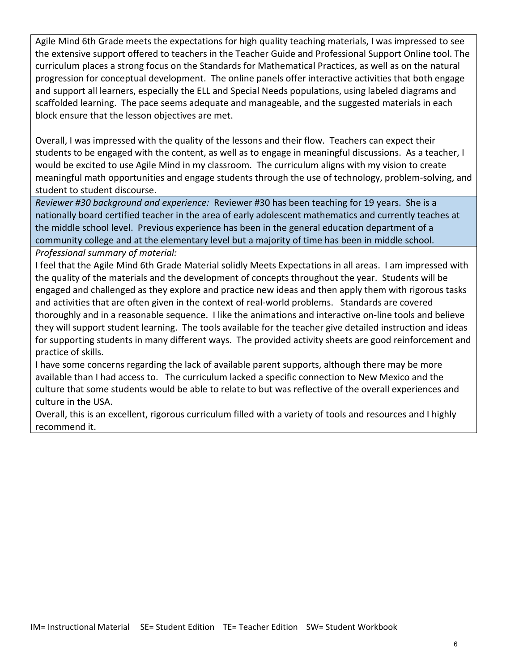Agile Mind 6th Grade meets the expectations for high quality teaching materials, I was impressed to see the extensive support offered to teachers in the Teacher Guide and Professional Support Online tool. The curriculum places a strong focus on the Standards for Mathematical Practices, as well as on the natural progression for conceptual development. The online panels offer interactive activities that both engage and support all learners, especially the ELL and Special Needs populations, using labeled diagrams and scaffolded learning. The pace seems adequate and manageable, and the suggested materials in each block ensure that the lesson objectives are met.

Overall, I was impressed with the quality of the lessons and their flow. Teachers can expect their students to be engaged with the content, as well as to engage in meaningful discussions. As a teacher, I would be excited to use Agile Mind in my classroom. The curriculum aligns with my vision to create meaningful math opportunities and engage students through the use of technology, problem-solving, and student to student discourse.

*Reviewer #30 background and experience:* Reviewer #30 has been teaching for 19 years. She is a nationally board certified teacher in the area of early adolescent mathematics and currently teaches at the middle school level. Previous experience has been in the general education department of a community college and at the elementary level but a majority of time has been in middle school.

*Professional summary of material:* 

I feel that the Agile Mind 6th Grade Material solidly Meets Expectations in all areas. I am impressed with the quality of the materials and the development of concepts throughout the year. Students will be engaged and challenged as they explore and practice new ideas and then apply them with rigorous tasks and activities that are often given in the context of real-world problems. Standards are covered thoroughly and in a reasonable sequence. I like the animations and interactive on-line tools and believe they will support student learning. The tools available for the teacher give detailed instruction and ideas for supporting students in many different ways. The provided activity sheets are good reinforcement and practice of skills.

I have some concerns regarding the lack of available parent supports, although there may be more available than I had access to. The curriculum lacked a specific connection to New Mexico and the culture that some students would be able to relate to but was reflective of the overall experiences and culture in the USA.

Overall, this is an excellent, rigorous curriculum filled with a variety of tools and resources and I highly recommend it.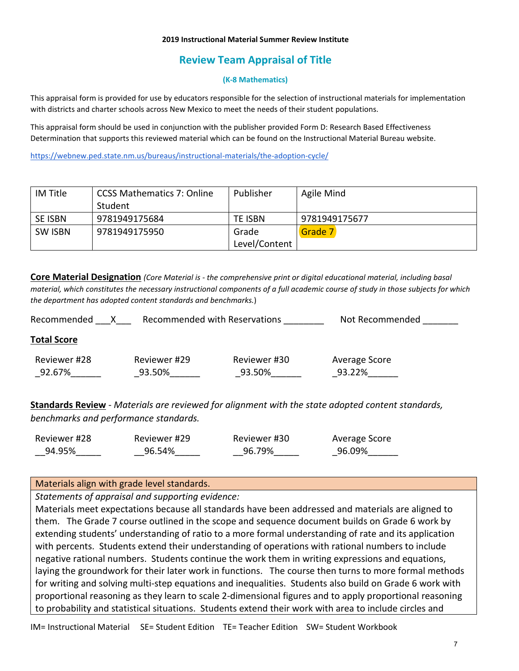#### **2019 Instructional Material Summer Review Institute**

# **Review Team Appraisal of Title**

### **(K-8 Mathematics)**

This appraisal form is provided for use by educators responsible for the selection of instructional materials for implementation with districts and charter schools across New Mexico to meet the needs of their student populations.

This appraisal form should be used in conjunction with the publisher provided Form D: Research Based Effectiveness Determination that supports this reviewed material which can be found on the Instructional Material Bureau website.

<https://webnew.ped.state.nm.us/bureaus/instructional-materials/the-adoption-cycle/>

| IM Title | CCSS Mathematics 7: Online | Publisher     | Agile Mind    |
|----------|----------------------------|---------------|---------------|
|          | Student                    |               |               |
| SE ISBN  | 9781949175684              | TE ISBN       | 9781949175677 |
| SW ISBN  | 9781949175950              | Grade         | Grade 7       |
|          |                            | Level/Content |               |

**Core Material Designation** *(Core Material is - the comprehensive print or digital educational material, including basal material, which constitutes the necessary instructional components of a full academic course of study in those subjects for which the department has adopted content standards and benchmarks.*)

| Recommended with Reservations<br>Recommended |              |              | Not Recommended |  |
|----------------------------------------------|--------------|--------------|-----------------|--|
| <b>Total Score</b>                           |              |              |                 |  |
| Reviewer #28                                 | Reviewer #29 | Reviewer #30 | Average Score   |  |
| 92.67%                                       | 93.50%       | 93.50%       | 93.22%          |  |
|                                              |              |              |                 |  |

**Standards Review** - *Materials are reviewed for alignment with the state adopted content standards, benchmarks and performance standards.*

| Reviewer #28 | Reviewer #29 | Reviewer #30 | Average Score |
|--------------|--------------|--------------|---------------|
| 94.95%       | 96.54%       | 96.79%       | 96.09%        |

## Materials align with grade level standards.

*Statements of appraisal and supporting evidence:*

Materials meet expectations because all standards have been addressed and materials are aligned to them. The Grade 7 course outlined in the scope and sequence document builds on Grade 6 work by extending students' understanding of ratio to a more formal understanding of rate and its application with percents. Students extend their understanding of operations with rational numbers to include negative rational numbers. Students continue the work them in writing expressions and equations, laying the groundwork for their later work in functions. The course then turns to more formal methods for writing and solving multi-step equations and inequalities. Students also build on Grade 6 work with proportional reasoning as they learn to scale 2-dimensional figures and to apply proportional reasoning to probability and statistical situations. Students extend their work with area to include circles and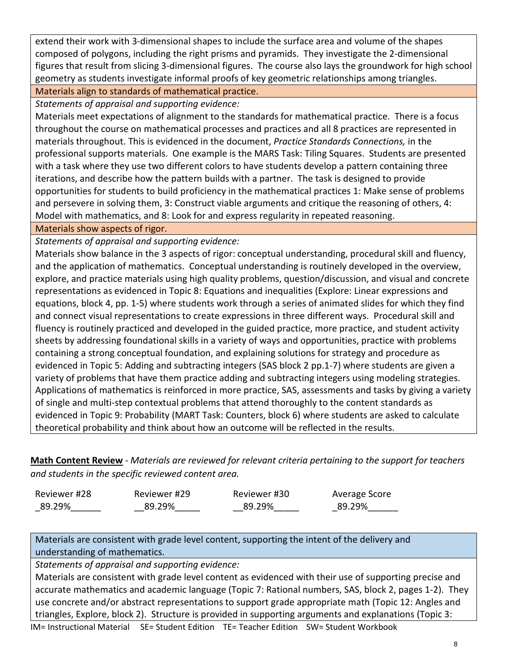extend their work with 3-dimensional shapes to include the surface area and volume of the shapes composed of polygons, including the right prisms and pyramids. They investigate the 2-dimensional figures that result from slicing 3-dimensional figures. The course also lays the groundwork for high school geometry as students investigate informal proofs of key geometric relationships among triangles.

Materials align to standards of mathematical practice.

*Statements of appraisal and supporting evidence:*

Materials meet expectations of alignment to the standards for mathematical practice. There is a focus throughout the course on mathematical processes and practices and all 8 practices are represented in materials throughout. This is evidenced in the document, *Practice Standards Connections,* in the professional supports materials. One example is the MARS Task: Tiling Squares. Students are presented with a task where they use two different colors to have students develop a pattern containing three iterations, and describe how the pattern builds with a partner. The task is designed to provide opportunities for students to build proficiency in the mathematical practices 1: Make sense of problems and persevere in solving them, 3: Construct viable arguments and critique the reasoning of others, 4: Model with mathematics, and 8: Look for and express regularity in repeated reasoning.

Materials show aspects of rigor.

*Statements of appraisal and supporting evidence:*

Materials show balance in the 3 aspects of rigor: conceptual understanding, procedural skill and fluency, and the application of mathematics. Conceptual understanding is routinely developed in the overview, explore, and practice materials using high quality problems, question/discussion, and visual and concrete representations as evidenced in Topic 8: Equations and inequalities (Explore: Linear expressions and equations, block 4, pp. 1-5) where students work through a series of animated slides for which they find and connect visual representations to create expressions in three different ways. Procedural skill and fluency is routinely practiced and developed in the guided practice, more practice, and student activity sheets by addressing foundational skills in a variety of ways and opportunities, practice with problems containing a strong conceptual foundation, and explaining solutions for strategy and procedure as evidenced in Topic 5: Adding and subtracting integers (SAS block 2 pp.1-7) where students are given a variety of problems that have them practice adding and subtracting integers using modeling strategies. Applications of mathematics is reinforced in more practice, SAS, assessments and tasks by giving a variety of single and multi-step contextual problems that attend thoroughly to the content standards as evidenced in Topic 9: Probability (MART Task: Counters, block 6) where students are asked to calculate theoretical probability and think about how an outcome will be reflected in the results.

**Math Content Review** - *Materials are reviewed for relevant criteria pertaining to the support for teachers and students in the specific reviewed content area.*

| Reviewer #28 | Reviewer #29 | Reviewer #30 | Average Score |
|--------------|--------------|--------------|---------------|
| 89.29%       | 89.29%       | 89.29%       | 89.29%        |

Materials are consistent with grade level content, supporting the intent of the delivery and understanding of mathematics.

*Statements of appraisal and supporting evidence:*

Materials are consistent with grade level content as evidenced with their use of supporting precise and accurate mathematics and academic language (Topic 7: Rational numbers, SAS, block 2, pages 1-2). They use concrete and/or abstract representations to support grade appropriate math (Topic 12: Angles and triangles, Explore, block 2). Structure is provided in supporting arguments and explanations (Topic 3: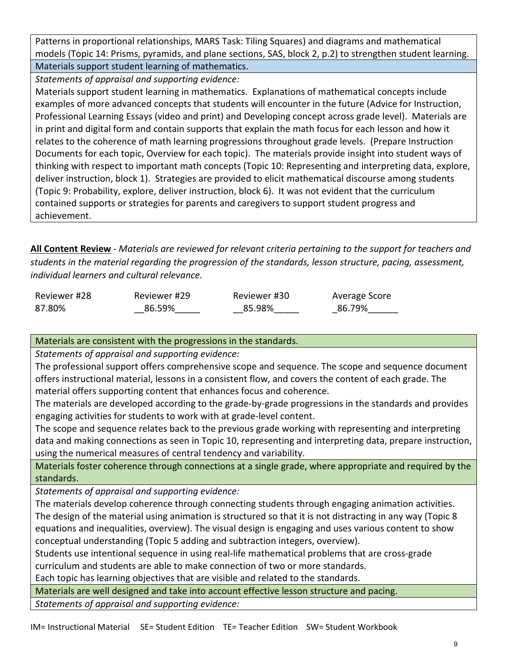Patterns in proportional relationships, MARS Task: Tiling Squares) and diagrams and mathematical models (Topic 14: Prisms, pyramids, and plane sections, SAS, block 2, p.2) to strengthen student learning. Materials support student learning of mathematics.

*Statements of appraisal and supporting evidence:*

Materials support student learning in mathematics. Explanations of mathematical concepts include examples of more advanced concepts that students will encounter in the future (Advice for Instruction, Professional Learning Essays (video and print) and Developing concept across grade level). Materials are in print and digital form and contain supports that explain the math focus for each lesson and how it relates to the coherence of math learning progressions throughout grade levels. (Prepare Instruction Documents for each topic, Overview for each topic). The materials provide insight into student ways of thinking with respect to important math concepts (Topic 10: Representing and interpreting data, explore, deliver instruction, block 1). Strategies are provided to elicit mathematical discourse among students (Topic 9: Probability, explore, deliver instruction, block 6). It was not evident that the curriculum contained supports or strategies for parents and caregivers to support student progress and achievement.

**All Content Review** - *Materials are reviewed for relevant criteria pertaining to the support for teachers and students in the material regarding the progression of the standards, lesson structure, pacing, assessment, individual learners and cultural relevance.*

| Reviewer #28 | Reviewer #29 | Reviewer #30 | Average Score |
|--------------|--------------|--------------|---------------|
| 87.80%       | 86.59%       | 85.98%       | 86.79%        |

Materials are consistent with the progressions in the standards.

*Statements of appraisal and supporting evidence:*

The professional support offers comprehensive scope and sequence. The scope and sequence document offers instructional material, lessons in a consistent flow, and covers the content of each grade. The material offers supporting content that enhances focus and coherence.

The materials are developed according to the grade-by-grade progressions in the standards and provides engaging activities for students to work with at grade-level content.

The scope and sequence relates back to the previous grade working with representing and interpreting data and making connections as seen in Topic 10, representing and interpreting data, prepare instruction, using the numerical measures of central tendency and variability.

Materials foster coherence through connections at a single grade, where appropriate and required by the standards.

*Statements of appraisal and supporting evidence:*

The materials develop coherence through connecting students through engaging animation activities. The design of the material using animation is structured so that it is not distracting in any way (Topic 8 equations and inequalities, overview). The visual design is engaging and uses various content to show conceptual understanding (Topic 5 adding and subtraction integers, overview).

Students use intentional sequence in using real-life mathematical problems that are cross-grade curriculum and students are able to make connection of two or more standards.

Each topic has learning objectives that are visible and related to the standards.

Materials are well designed and take into account effective lesson structure and pacing.

*Statements of appraisal and supporting evidence:*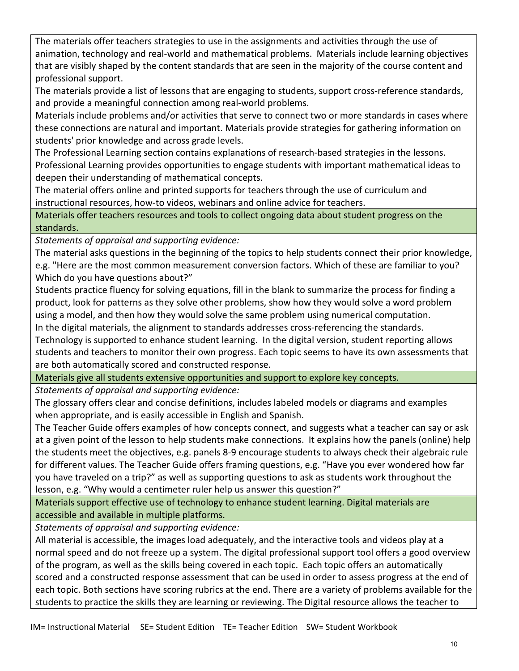The materials offer teachers strategies to use in the assignments and activities through the use of animation, technology and real-world and mathematical problems. Materials include learning objectives that are visibly shaped by the content standards that are seen in the majority of the course content and professional support.

The materials provide a list of lessons that are engaging to students, support cross-reference standards, and provide a meaningful connection among real-world problems.

Materials include problems and/or activities that serve to connect two or more standards in cases where these connections are natural and important. Materials provide strategies for gathering information on students' prior knowledge and across grade levels.

The Professional Learning section contains explanations of research-based strategies in the lessons. Professional Learning provides opportunities to engage students with important mathematical ideas to deepen their understanding of mathematical concepts.

The material offers online and printed supports for teachers through the use of curriculum and instructional resources, how-to videos, webinars and online advice for teachers.

Materials offer teachers resources and tools to collect ongoing data about student progress on the standards.

*Statements of appraisal and supporting evidence:*

The material asks questions in the beginning of the topics to help students connect their prior knowledge, e.g. "Here are the most common measurement conversion factors. Which of these are familiar to you? Which do you have questions about?"

Students practice fluency for solving equations, fill in the blank to summarize the process for finding a product, look for patterns as they solve other problems, show how they would solve a word problem using a model, and then how they would solve the same problem using numerical computation.

In the digital materials, the alignment to standards addresses cross-referencing the standards.

Technology is supported to enhance student learning. In the digital version, student reporting allows students and teachers to monitor their own progress. Each topic seems to have its own assessments that are both automatically scored and constructed response.

Materials give all students extensive opportunities and support to explore key concepts.

*Statements of appraisal and supporting evidence:*

The glossary offers clear and concise definitions, includes labeled models or diagrams and examples when appropriate, and is easily accessible in English and Spanish.

The Teacher Guide offers examples of how concepts connect, and suggests what a teacher can say or ask at a given point of the lesson to help students make connections. It explains how the panels (online) help the students meet the objectives, e.g. panels 8-9 encourage students to always check their algebraic rule for different values. The Teacher Guide offers framing questions, e.g. "Have you ever wondered how far you have traveled on a trip?" as well as supporting questions to ask as students work throughout the lesson, e.g. "Why would a centimeter ruler help us answer this question?"

Materials support effective use of technology to enhance student learning. Digital materials are accessible and available in multiple platforms.

*Statements of appraisal and supporting evidence:*

All material is accessible, the images load adequately, and the interactive tools and videos play at a normal speed and do not freeze up a system. The digital professional support tool offers a good overview of the program, as well as the skills being covered in each topic. Each topic offers an automatically scored and a constructed response assessment that can be used in order to assess progress at the end of each topic. Both sections have scoring rubrics at the end. There are a variety of problems available for the students to practice the skills they are learning or reviewing. The Digital resource allows the teacher to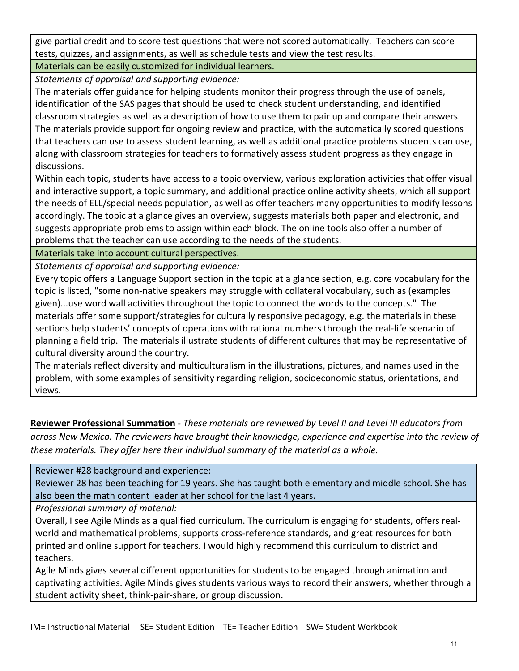give partial credit and to score test questions that were not scored automatically. Teachers can score tests, quizzes, and assignments, as well as schedule tests and view the test results.

Materials can be easily customized for individual learners.

*Statements of appraisal and supporting evidence:*

The materials offer guidance for helping students monitor their progress through the use of panels, identification of the SAS pages that should be used to check student understanding, and identified classroom strategies as well as a description of how to use them to pair up and compare their answers. The materials provide support for ongoing review and practice, with the automatically scored questions that teachers can use to assess student learning, as well as additional practice problems students can use, along with classroom strategies for teachers to formatively assess student progress as they engage in discussions.

Within each topic, students have access to a topic overview, various exploration activities that offer visual and interactive support, a topic summary, and additional practice online activity sheets, which all support the needs of ELL/special needs population, as well as offer teachers many opportunities to modify lessons accordingly. The topic at a glance gives an overview, suggests materials both paper and electronic, and suggests appropriate problems to assign within each block. The online tools also offer a number of problems that the teacher can use according to the needs of the students.

Materials take into account cultural perspectives.

*Statements of appraisal and supporting evidence:*

Every topic offers a Language Support section in the topic at a glance section, e.g. core vocabulary for the topic is listed, "some non-native speakers may struggle with collateral vocabulary, such as (examples given)...use word wall activities throughout the topic to connect the words to the concepts." The materials offer some support/strategies for culturally responsive pedagogy, e.g. the materials in these sections help students' concepts of operations with rational numbers through the real-life scenario of planning a field trip. The materials illustrate students of different cultures that may be representative of cultural diversity around the country.

The materials reflect diversity and multiculturalism in the illustrations, pictures, and names used in the problem, with some examples of sensitivity regarding religion, socioeconomic status, orientations, and views.

**Reviewer Professional Summation** - *These materials are reviewed by Level II and Level III educators from across New Mexico. The reviewers have brought their knowledge, experience and expertise into the review of these materials. They offer here their individual summary of the material as a whole.* 

Reviewer #28 background and experience:

Reviewer 28 has been teaching for 19 years. She has taught both elementary and middle school. She has also been the math content leader at her school for the last 4 years.

*Professional summary of material:*

Overall, I see Agile Minds as a qualified curriculum. The curriculum is engaging for students, offers realworld and mathematical problems, supports cross-reference standards, and great resources for both printed and online support for teachers. I would highly recommend this curriculum to district and teachers.

Agile Minds gives several different opportunities for students to be engaged through animation and captivating activities. Agile Minds gives students various ways to record their answers, whether through a student activity sheet, think-pair-share, or group discussion.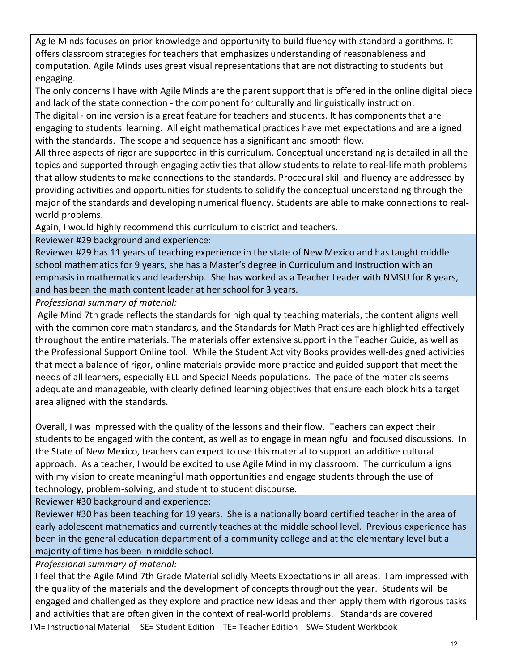Agile Minds focuses on prior knowledge and opportunity to build fluency with standard algorithms. It offers classroom strategies for teachers that emphasizes understanding of reasonableness and computation. Agile Minds uses great visual representations that are not distracting to students but engaging.

The only concerns I have with Agile Minds are the parent support that is offered in the online digital piece and lack of the state connection - the component for culturally and linguistically instruction.

The digital - online version is a great feature for teachers and students. It has components that are engaging to students' learning. All eight mathematical practices have met expectations and are aligned with the standards. The scope and sequence has a significant and smooth flow.

All three aspects of rigor are supported in this curriculum. Conceptual understanding is detailed in all the topics and supported through engaging activities that allow students to relate to real-life math problems that allow students to make connections to the standards. Procedural skill and fluency are addressed by providing activities and opportunities for students to solidify the conceptual understanding through the major of the standards and developing numerical fluency. Students are able to make connections to realworld problems.

Again, I would highly recommend this curriculum to district and teachers.

Reviewer #29 background and experience:

Reviewer #29 has 11 years of teaching experience in the state of New Mexico and has taught middle school mathematics for 9 years, she has a Master's degree in Curriculum and Instruction with an emphasis in mathematics and leadership. She has worked as a Teacher Leader with NMSU for 8 years, and has been the math content leader at her school for 3 years.

*Professional summary of material:*

Agile Mind 7th grade reflects the standards for high quality teaching materials, the content aligns well with the common core math standards, and the Standards for Math Practices are highlighted effectively throughout the entire materials. The materials offer extensive support in the Teacher Guide, as well as the Professional Support Online tool. While the Student Activity Books provides well-designed activities that meet a balance of rigor, online materials provide more practice and guided support that meet the needs of all learners, especially ELL and Special Needs populations. The pace of the materials seems adequate and manageable, with clearly defined learning objectives that ensure each block hits a target area aligned with the standards.

Overall, I was impressed with the quality of the lessons and their flow. Teachers can expect their students to be engaged with the content, as well as to engage in meaningful and focused discussions. In the State of New Mexico, teachers can expect to use this material to support an additive cultural approach. As a teacher, I would be excited to use Agile Mind in my classroom. The curriculum aligns with my vision to create meaningful math opportunities and engage students through the use of technology, problem-solving, and student to student discourse.

Reviewer #30 background and experience:

Reviewer #30 has been teaching for 19 years. She is a nationally board certified teacher in the area of early adolescent mathematics and currently teaches at the middle school level. Previous experience has been in the general education department of a community college and at the elementary level but a majority of time has been in middle school.

*Professional summary of material:*

I feel that the Agile Mind 7th Grade Material solidly Meets Expectations in all areas. I am impressed with the quality of the materials and the development of concepts throughout the year. Students will be engaged and challenged as they explore and practice new ideas and then apply them with rigorous tasks and activities that are often given in the context of real-world problems. Standards are covered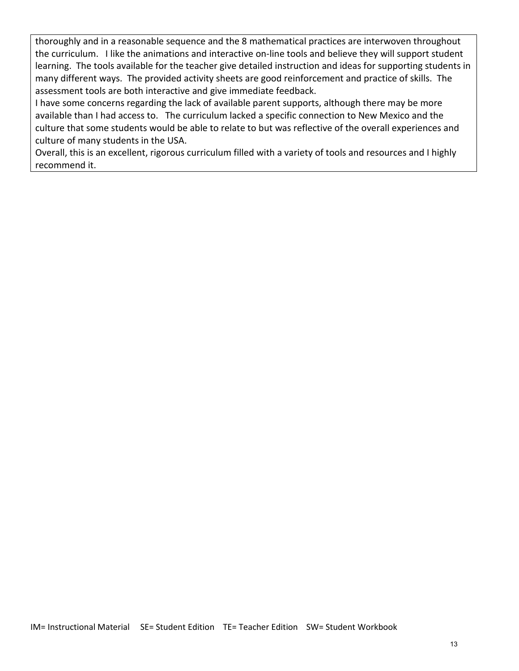thoroughly and in a reasonable sequence and the 8 mathematical practices are interwoven throughout the curriculum. I like the animations and interactive on-line tools and believe they will support student learning. The tools available for the teacher give detailed instruction and ideas for supporting students in many different ways. The provided activity sheets are good reinforcement and practice of skills. The assessment tools are both interactive and give immediate feedback.

I have some concerns regarding the lack of available parent supports, although there may be more available than I had access to. The curriculum lacked a specific connection to New Mexico and the culture that some students would be able to relate to but was reflective of the overall experiences and culture of many students in the USA.

Overall, this is an excellent, rigorous curriculum filled with a variety of tools and resources and I highly recommend it.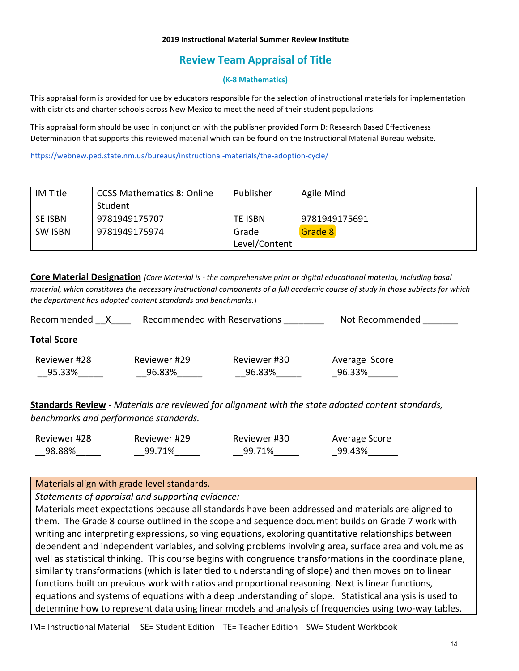#### **2019 Instructional Material Summer Review Institute**

# **Review Team Appraisal of Title**

### **(K-8 Mathematics)**

This appraisal form is provided for use by educators responsible for the selection of instructional materials for implementation with districts and charter schools across New Mexico to meet the need of their student populations.

This appraisal form should be used in conjunction with the publisher provided Form D: Research Based Effectiveness Determination that supports this reviewed material which can be found on the Instructional Material Bureau website.

<https://webnew.ped.state.nm.us/bureaus/instructional-materials/the-adoption-cycle/>

| IM Title       | CCSS Mathematics 8: Online | Publisher     | Agile Mind    |
|----------------|----------------------------|---------------|---------------|
|                | Student                    |               |               |
| <b>SE ISBN</b> | 9781949175707              | TE ISBN       | 9781949175691 |
| SW ISBN        | 9781949175974              | Grade         | Grade 8       |
|                |                            | Level/Content |               |

**Core Material Designation** *(Core Material is - the comprehensive print or digital educational material, including basal material, which constitutes the necessary instructional components of a full academic course of study in those subjects for which the department has adopted content standards and benchmarks.*)

| Recommended with Reservations<br>Recommended |              |              | Not Recommended |  |
|----------------------------------------------|--------------|--------------|-----------------|--|
| <b>Total Score</b>                           |              |              |                 |  |
| Reviewer #28                                 | Reviewer #29 | Reviewer #30 | Average Score   |  |
| 95.33%                                       | 96.83%       | 96.83%       | 96.33%          |  |
|                                              |              |              |                 |  |

**Standards Review** - *Materials are reviewed for alignment with the state adopted content standards, benchmarks and performance standards.*

| Reviewer #28 | Reviewer #29 | Reviewer #30 | Average Score |
|--------------|--------------|--------------|---------------|
| 98.88%       | 99.71%       | 99.71%       | 99.43%        |

## Materials align with grade level standards.

*Statements of appraisal and supporting evidence:*

Materials meet expectations because all standards have been addressed and materials are aligned to them. The Grade 8 course outlined in the scope and sequence document builds on Grade 7 work with writing and interpreting expressions, solving equations, exploring quantitative relationships between dependent and independent variables, and solving problems involving area, surface area and volume as well as statistical thinking. This course begins with congruence transformations in the coordinate plane, similarity transformations (which is later tied to understanding of slope) and then moves on to linear functions built on previous work with ratios and proportional reasoning. Next is linear functions, equations and systems of equations with a deep understanding of slope. Statistical analysis is used to determine how to represent data using linear models and analysis of frequencies using two-way tables.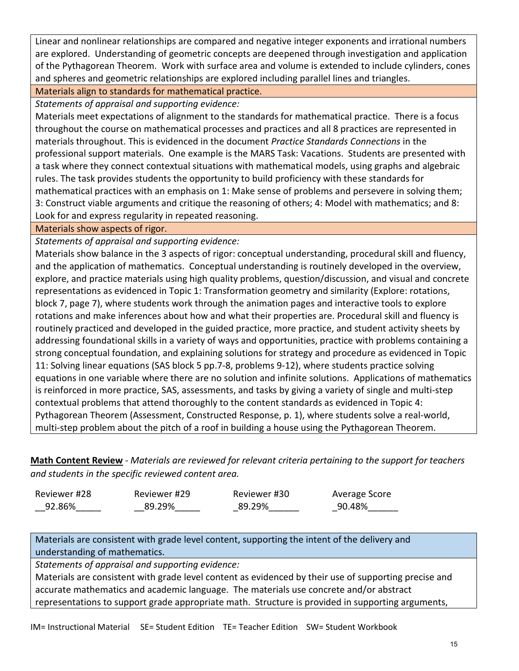Linear and nonlinear relationships are compared and negative integer exponents and irrational numbers are explored. Understanding of geometric concepts are deepened through investigation and application of the Pythagorean Theorem. Work with surface area and volume is extended to include cylinders, cones and spheres and geometric relationships are explored including parallel lines and triangles.

Materials align to standards for mathematical practice.

*Statements of appraisal and supporting evidence:*

Materials meet expectations of alignment to the standards for mathematical practice. There is a focus throughout the course on mathematical processes and practices and all 8 practices are represented in materials throughout. This is evidenced in the document *Practice Standards Connections* in the professional support materials. One example is the MARS Task: Vacations. Students are presented with a task where they connect contextual situations with mathematical models, using graphs and algebraic rules. The task provides students the opportunity to build proficiency with these standards for mathematical practices with an emphasis on 1: Make sense of problems and persevere in solving them; 3: Construct viable arguments and critique the reasoning of others; 4: Model with mathematics; and 8: Look for and express regularity in repeated reasoning.

Materials show aspects of rigor.

*Statements of appraisal and supporting evidence:*

Materials show balance in the 3 aspects of rigor: conceptual understanding, procedural skill and fluency, and the application of mathematics. Conceptual understanding is routinely developed in the overview, explore, and practice materials using high quality problems, question/discussion, and visual and concrete representations as evidenced in Topic 1: Transformation geometry and similarity (Explore: rotations, block 7, page 7), where students work through the animation pages and interactive tools to explore rotations and make inferences about how and what their properties are. Procedural skill and fluency is routinely practiced and developed in the guided practice, more practice, and student activity sheets by addressing foundational skills in a variety of ways and opportunities, practice with problems containing a strong conceptual foundation, and explaining solutions for strategy and procedure as evidenced in Topic 11: Solving linear equations (SAS block 5 pp.7-8, problems 9-12), where students practice solving equations in one variable where there are no solution and infinite solutions. Applications of mathematics is reinforced in more practice, SAS, assessments, and tasks by giving a variety of single and multi-step contextual problems that attend thoroughly to the content standards as evidenced in Topic 4: Pythagorean Theorem (Assessment, Constructed Response, p. 1), where students solve a real-world, multi-step problem about the pitch of a roof in building a house using the Pythagorean Theorem.

**Math Content Review** - *Materials are reviewed for relevant criteria pertaining to the support for teachers and students in the specific reviewed content area.*

| Reviewer #28 | Reviewer #29 | Reviewer #30 | Average Score |
|--------------|--------------|--------------|---------------|
| 92.86%       | 89.29%       | 89.29%       | 90.48%        |

Materials are consistent with grade level content, supporting the intent of the delivery and understanding of mathematics.

*Statements of appraisal and supporting evidence:*

Materials are consistent with grade level content as evidenced by their use of supporting precise and accurate mathematics and academic language. The materials use concrete and/or abstract representations to support grade appropriate math. Structure is provided in supporting arguments,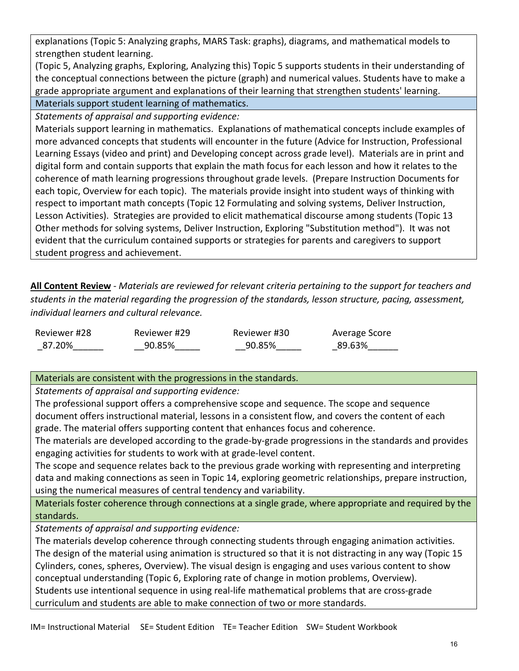explanations (Topic 5: Analyzing graphs, MARS Task: graphs), diagrams, and mathematical models to strengthen student learning.

(Topic 5, Analyzing graphs, Exploring, Analyzing this) Topic 5 supports students in their understanding of the conceptual connections between the picture (graph) and numerical values. Students have to make a grade appropriate argument and explanations of their learning that strengthen students' learning.

Materials support student learning of mathematics.

*Statements of appraisal and supporting evidence:*

Materials support learning in mathematics. Explanations of mathematical concepts include examples of more advanced concepts that students will encounter in the future (Advice for Instruction, Professional Learning Essays (video and print) and Developing concept across grade level). Materials are in print and digital form and contain supports that explain the math focus for each lesson and how it relates to the coherence of math learning progressions throughout grade levels. (Prepare Instruction Documents for each topic, Overview for each topic). The materials provide insight into student ways of thinking with respect to important math concepts (Topic 12 Formulating and solving systems, Deliver Instruction, Lesson Activities). Strategies are provided to elicit mathematical discourse among students (Topic 13 Other methods for solving systems, Deliver Instruction, Exploring "Substitution method"). It was not evident that the curriculum contained supports or strategies for parents and caregivers to support student progress and achievement.

**All Content Review** - *Materials are reviewed for relevant criteria pertaining to the support for teachers and students in the material regarding the progression of the standards, lesson structure, pacing, assessment, individual learners and cultural relevance.*

Reviewer #28 \_87.20%\_\_\_\_\_\_ Reviewer #29 \_\_90.85%\_\_\_\_\_ Reviewer #30 \_\_90.85%\_\_\_\_\_ Average Score \_89.63%\_\_\_\_\_\_

# Materials are consistent with the progressions in the standards.

*Statements of appraisal and supporting evidence:*

The professional support offers a comprehensive scope and sequence. The scope and sequence document offers instructional material, lessons in a consistent flow, and covers the content of each grade. The material offers supporting content that enhances focus and coherence.

The materials are developed according to the grade-by-grade progressions in the standards and provides engaging activities for students to work with at grade-level content.

The scope and sequence relates back to the previous grade working with representing and interpreting data and making connections as seen in Topic 14, exploring geometric relationships, prepare instruction, using the numerical measures of central tendency and variability.

Materials foster coherence through connections at a single grade, where appropriate and required by the standards.

*Statements of appraisal and supporting evidence:*

The materials develop coherence through connecting students through engaging animation activities. The design of the material using animation is structured so that it is not distracting in any way (Topic 15 Cylinders, cones, spheres, Overview). The visual design is engaging and uses various content to show conceptual understanding (Topic 6, Exploring rate of change in motion problems, Overview). Students use intentional sequence in using real-life mathematical problems that are cross-grade curriculum and students are able to make connection of two or more standards.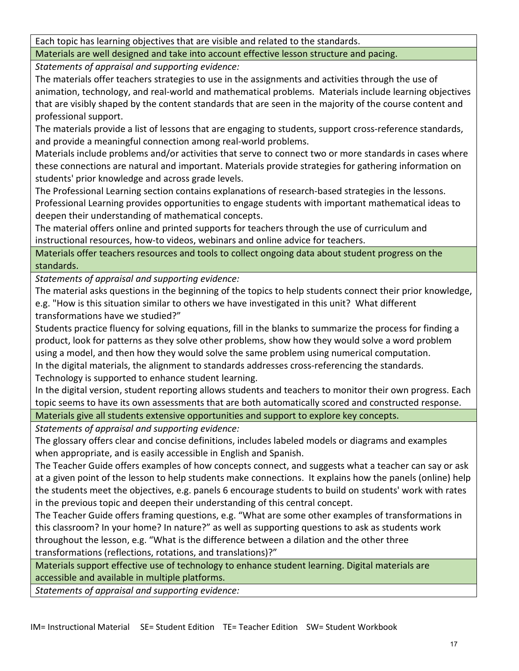Each topic has learning objectives that are visible and related to the standards.

Materials are well designed and take into account effective lesson structure and pacing.

*Statements of appraisal and supporting evidence:*

The materials offer teachers strategies to use in the assignments and activities through the use of animation, technology, and real-world and mathematical problems. Materials include learning objectives that are visibly shaped by the content standards that are seen in the majority of the course content and professional support.

The materials provide a list of lessons that are engaging to students, support cross-reference standards, and provide a meaningful connection among real-world problems.

Materials include problems and/or activities that serve to connect two or more standards in cases where these connections are natural and important. Materials provide strategies for gathering information on students' prior knowledge and across grade levels.

The Professional Learning section contains explanations of research-based strategies in the lessons. Professional Learning provides opportunities to engage students with important mathematical ideas to deepen their understanding of mathematical concepts.

The material offers online and printed supports for teachers through the use of curriculum and instructional resources, how-to videos, webinars and online advice for teachers.

Materials offer teachers resources and tools to collect ongoing data about student progress on the standards.

*Statements of appraisal and supporting evidence:*

The material asks questions in the beginning of the topics to help students connect their prior knowledge, e.g. "How is this situation similar to others we have investigated in this unit? What different transformations have we studied?"

Students practice fluency for solving equations, fill in the blanks to summarize the process for finding a product, look for patterns as they solve other problems, show how they would solve a word problem using a model, and then how they would solve the same problem using numerical computation. In the digital materials, the alignment to standards addresses cross-referencing the standards. Technology is supported to enhance student learning.

In the digital version, student reporting allows students and teachers to monitor their own progress. Each topic seems to have its own assessments that are both automatically scored and constructed response.

Materials give all students extensive opportunities and support to explore key concepts.

*Statements of appraisal and supporting evidence:*

The glossary offers clear and concise definitions, includes labeled models or diagrams and examples when appropriate, and is easily accessible in English and Spanish.

The Teacher Guide offers examples of how concepts connect, and suggests what a teacher can say or ask at a given point of the lesson to help students make connections. It explains how the panels (online) help the students meet the objectives, e.g. panels 6 encourage students to build on students' work with rates in the previous topic and deepen their understanding of this central concept.

The Teacher Guide offers framing questions, e.g. "What are some other examples of transformations in this classroom? In your home? In nature?" as well as supporting questions to ask as students work throughout the lesson, e.g. "What is the difference between a dilation and the other three transformations (reflections, rotations, and translations)?"

Materials support effective use of technology to enhance student learning. Digital materials are accessible and available in multiple platforms.

*Statements of appraisal and supporting evidence:*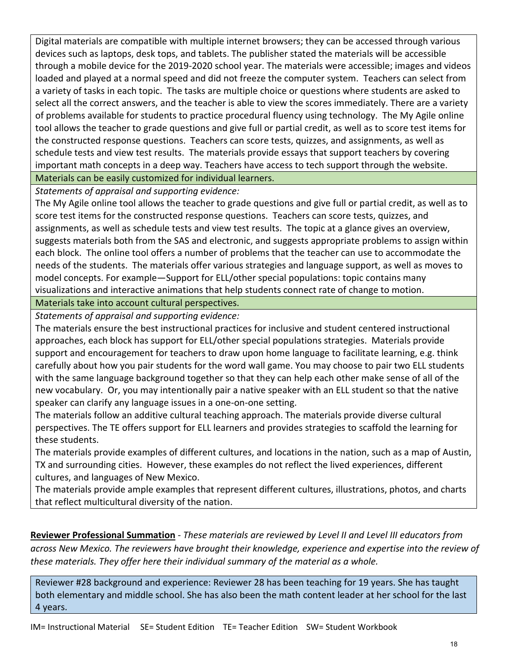Digital materials are compatible with multiple internet browsers; they can be accessed through various devices such as laptops, desk tops, and tablets. The publisher stated the materials will be accessible through a mobile device for the 2019-2020 school year. The materials were accessible; images and videos loaded and played at a normal speed and did not freeze the computer system. Teachers can select from a variety of tasks in each topic. The tasks are multiple choice or questions where students are asked to select all the correct answers, and the teacher is able to view the scores immediately. There are a variety of problems available for students to practice procedural fluency using technology. The My Agile online tool allows the teacher to grade questions and give full or partial credit, as well as to score test items for the constructed response questions. Teachers can score tests, quizzes, and assignments, as well as schedule tests and view test results. The materials provide essays that support teachers by covering important math concepts in a deep way. Teachers have access to tech support through the website. Materials can be easily customized for individual learners.

*Statements of appraisal and supporting evidence:*

The My Agile online tool allows the teacher to grade questions and give full or partial credit, as well as to score test items for the constructed response questions. Teachers can score tests, quizzes, and assignments, as well as schedule tests and view test results. The topic at a glance gives an overview, suggests materials both from the SAS and electronic, and suggests appropriate problems to assign within each block. The online tool offers a number of problems that the teacher can use to accommodate the needs of the students. The materials offer various strategies and language support, as well as moves to model concepts. For example—Support for ELL/other special populations: topic contains many visualizations and interactive animations that help students connect rate of change to motion.

Materials take into account cultural perspectives.

*Statements of appraisal and supporting evidence:*

The materials ensure the best instructional practices for inclusive and student centered instructional approaches, each block has support for ELL/other special populations strategies. Materials provide support and encouragement for teachers to draw upon home language to facilitate learning, e.g. think carefully about how you pair students for the word wall game. You may choose to pair two ELL students with the same language background together so that they can help each other make sense of all of the new vocabulary. Or, you may intentionally pair a native speaker with an ELL student so that the native speaker can clarify any language issues in a one-on-one setting.

The materials follow an additive cultural teaching approach. The materials provide diverse cultural perspectives. The TE offers support for ELL learners and provides strategies to scaffold the learning for these students.

The materials provide examples of different cultures, and locations in the nation, such as a map of Austin, TX and surrounding cities. However, these examples do not reflect the lived experiences, different cultures, and languages of New Mexico.

The materials provide ample examples that represent different cultures, illustrations, photos, and charts that reflect multicultural diversity of the nation.

**Reviewer Professional Summation** - *These materials are reviewed by Level II and Level III educators from across New Mexico. The reviewers have brought their knowledge, experience and expertise into the review of these materials. They offer here their individual summary of the material as a whole.* 

Reviewer #28 background and experience: Reviewer 28 has been teaching for 19 years. She has taught both elementary and middle school. She has also been the math content leader at her school for the last 4 years.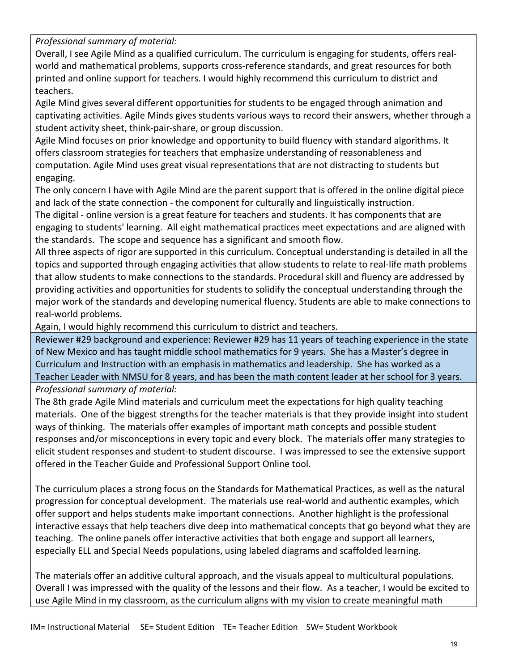*Professional summary of material:*

Overall, I see Agile Mind as a qualified curriculum. The curriculum is engaging for students, offers realworld and mathematical problems, supports cross-reference standards, and great resources for both printed and online support for teachers. I would highly recommend this curriculum to district and teachers.

Agile Mind gives several different opportunities for students to be engaged through animation and captivating activities. Agile Minds gives students various ways to record their answers, whether through a student activity sheet, think-pair-share, or group discussion.

Agile Mind focuses on prior knowledge and opportunity to build fluency with standard algorithms. It offers classroom strategies for teachers that emphasize understanding of reasonableness and computation. Agile Mind uses great visual representations that are not distracting to students but engaging.

The only concern I have with Agile Mind are the parent support that is offered in the online digital piece and lack of the state connection - the component for culturally and linguistically instruction.

The digital - online version is a great feature for teachers and students. It has components that are engaging to students' learning. All eight mathematical practices meet expectations and are aligned with the standards. The scope and sequence has a significant and smooth flow.

All three aspects of rigor are supported in this curriculum. Conceptual understanding is detailed in all the topics and supported through engaging activities that allow students to relate to real-life math problems that allow students to make connections to the standards. Procedural skill and fluency are addressed by providing activities and opportunities for students to solidify the conceptual understanding through the major work of the standards and developing numerical fluency. Students are able to make connections to real-world problems.

Again, I would highly recommend this curriculum to district and teachers.

Reviewer #29 background and experience: Reviewer #29 has 11 years of teaching experience in the state of New Mexico and has taught middle school mathematics for 9 years. She has a Master's degree in Curriculum and Instruction with an emphasis in mathematics and leadership. She has worked as a Teacher Leader with NMSU for 8 years, and has been the math content leader at her school for 3 years. *Professional summary of material:*

The 8th grade Agile Mind materials and curriculum meet the expectations for high quality teaching materials. One of the biggest strengths for the teacher materials is that they provide insight into student ways of thinking. The materials offer examples of important math concepts and possible student responses and/or misconceptions in every topic and every block. The materials offer many strategies to elicit student responses and student-to student discourse. I was impressed to see the extensive support offered in the Teacher Guide and Professional Support Online tool.

The curriculum places a strong focus on the Standards for Mathematical Practices, as well as the natural progression for conceptual development. The materials use real-world and authentic examples, which offer support and helps students make important connections. Another highlight is the professional interactive essays that help teachers dive deep into mathematical concepts that go beyond what they are teaching. The online panels offer interactive activities that both engage and support all learners, especially ELL and Special Needs populations, using labeled diagrams and scaffolded learning.

The materials offer an additive cultural approach, and the visuals appeal to multicultural populations. Overall I was impressed with the quality of the lessons and their flow. As a teacher, I would be excited to use Agile Mind in my classroom, as the curriculum aligns with my vision to create meaningful math